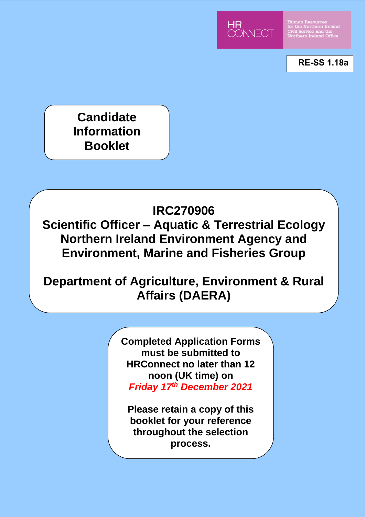

Human Resources<br>for the Northern Ireland<br>Civil Service and the<br>Northem Ireland Office

**RE-SS 1.18a**

**Candidate Information Booklet**

# **IRC270906**

**Scientific Officer – Aquatic & Terrestrial Ecology Northern Ireland Environment Agency and Environment, Marine and Fisheries Group**

# **Department of Agriculture, Environment & Rural Affairs (DAERA)**

**Completed Application Forms must be submitted to HRConnect no later than 12 noon (UK time) on**  *Friday 17th December 2021*

**Please retain a copy of this booklet for your reference throughout the selection process.**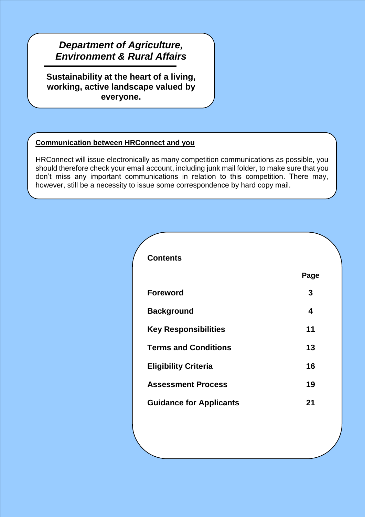# **Environment & Rural Affairs** *Department of Agriculture,*

**Sustainability at the heart of a living, working, active landscape valued by everyone.**

# **Communication between HRConnect and you**

HRConnect will issue electronically as many competition communications as possible, you should therefore check your email account, including junk mail folder, to make sure that you don't miss any important communications in relation to this competition. There may, however, still be a necessity to issue some correspondence by hard copy mail.

| Page |
|------|
| 3    |
| 4    |
| 11   |
| 13   |
| 16   |
| 19   |
| 21   |
|      |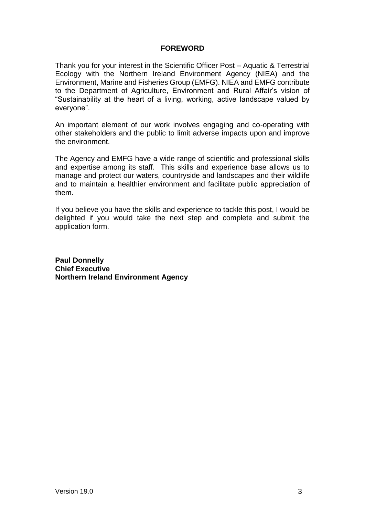# **FOREWORD**

Thank you for your interest in the Scientific Officer Post – Aquatic & Terrestrial Ecology with the Northern Ireland Environment Agency (NIEA) and the Environment, Marine and Fisheries Group (EMFG). NIEA and EMFG contribute to the Department of Agriculture, Environment and Rural Affair's vision of "Sustainability at the heart of a living, working, active landscape valued by everyone".

An important element of our work involves engaging and co-operating with other stakeholders and the public to limit adverse impacts upon and improve the environment.

The Agency and EMFG have a wide range of scientific and professional skills and expertise among its staff. This skills and experience base allows us to manage and protect our waters, countryside and landscapes and their wildlife and to maintain a healthier environment and facilitate public appreciation of them.

If you believe you have the skills and experience to tackle this post, I would be delighted if you would take the next step and complete and submit the application form.

**Paul Donnelly Chief Executive Northern Ireland Environment Agency**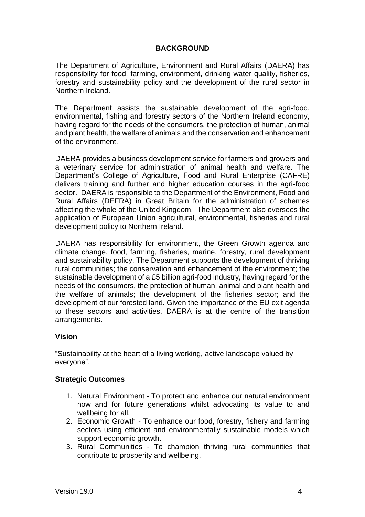# **BACKGROUND**

The Department of Agriculture, Environment and Rural Affairs (DAERA) has responsibility for food, farming, environment, drinking water quality, fisheries, forestry and sustainability policy and the development of the rural sector in Northern Ireland.

The Department assists the sustainable development of the agri-food, environmental, fishing and forestry sectors of the Northern Ireland economy, having regard for the needs of the consumers, the protection of human, animal and plant health, the welfare of animals and the conservation and enhancement of the environment.

DAERA provides a business development service for farmers and growers and a veterinary service for administration of animal health and welfare. The Department's College of Agriculture, Food and Rural Enterprise (CAFRE) delivers training and further and higher education courses in the agri-food sector. DAERA is responsible to the Department of the Environment, Food and Rural Affairs (DEFRA) in Great Britain for the administration of schemes affecting the whole of the United Kingdom. The Department also oversees the application of European Union agricultural, environmental, fisheries and rural development policy to Northern Ireland.

DAERA has responsibility for environment, the Green Growth agenda and climate change, food, farming, fisheries, marine, forestry, rural development and sustainability policy. The Department supports the development of thriving rural communities; the conservation and enhancement of the environment; the sustainable development of a £5 billion agri-food industry, having regard for the needs of the consumers, the protection of human, animal and plant health and the welfare of animals; the development of the fisheries sector; and the development of our forested land. Given the importance of the EU exit agenda to these sectors and activities, DAERA is at the centre of the transition arrangements.

# **Vision**

"Sustainability at the heart of a living working, active landscape valued by everyone".

# **Strategic Outcomes**

- 1. Natural Environment To protect and enhance our natural environment now and for future generations whilst advocating its value to and wellbeing for all.
- 2. Economic Growth To enhance our food, forestry, fishery and farming sectors using efficient and environmentally sustainable models which support economic growth.
- 3. Rural Communities To champion thriving rural communities that contribute to prosperity and wellbeing.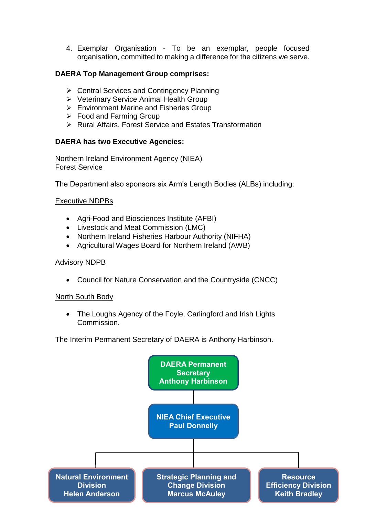4. Exemplar Organisation - To be an exemplar, people focused organisation, committed to making a difference for the citizens we serve.

# **DAERA Top Management Group comprises:**

- $\triangleright$  Central Services and Contingency Planning
- ▶ Veterinary Service Animal Health Group
- $\triangleright$  Environment Marine and Fisheries Group
- $\triangleright$  Food and Farming Group
- $\triangleright$  Rural Affairs, Forest Service and Estates Transformation

# **DAERA has two Executive Agencies:**

Northern Ireland Environment Agency (NIEA) Forest Service

The Department also sponsors six Arm's Length Bodies (ALBs) including:

# Executive NDPBs

- Agri-Food and Biosciences Institute (AFBI)
- Livestock and Meat Commission (LMC)
- Northern Ireland Fisheries Harbour Authority (NIFHA)
- Agricultural Wages Board for Northern Ireland (AWB)

# Advisory NDPB

Council for Nature Conservation and the Countryside (CNCC)

# North South Body

• The Loughs Agency of the Foyle, Carlingford and Irish Lights Commission.

The Interim Permanent Secretary of DAERA is Anthony Harbinson.

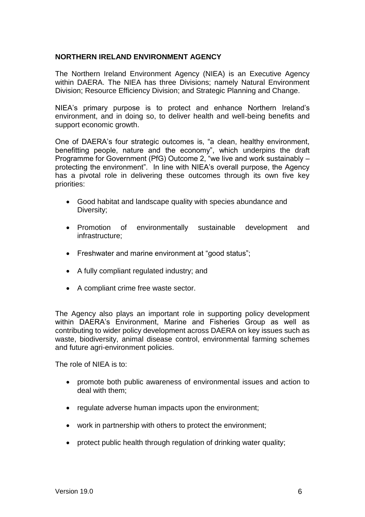# **NORTHERN IRELAND ENVIRONMENT AGENCY**

The Northern Ireland Environment Agency (NIEA) is an Executive Agency within DAERA. The NIEA has three Divisions; namely Natural Environment Division; Resource Efficiency Division; and Strategic Planning and Change.

NIEA's primary purpose is to protect and enhance Northern Ireland's environment, and in doing so, to deliver health and well-being benefits and support economic growth.

One of DAERA's four strategic outcomes is, "a clean, healthy environment, benefitting people, nature and the economy", which underpins the draft Programme for Government (PfG) Outcome 2, "we live and work sustainably – protecting the environment". In line with NIEA's overall purpose, the Agency has a pivotal role in delivering these outcomes through its own five key priorities:

- Good habitat and landscape quality with species abundance and Diversity;
- Promotion of environmentally sustainable development and infrastructure;
- Freshwater and marine environment at "good status";
- A fully compliant regulated industry; and
- A compliant crime free waste sector.

The Agency also plays an important role in supporting policy development within DAERA's Environment, Marine and Fisheries Group as well as contributing to wider policy development across DAERA on key issues such as waste, biodiversity, animal disease control, environmental farming schemes and future agri-environment policies.

The role of NIEA is to:

- promote both public awareness of environmental issues and action to deal with them;
- regulate adverse human impacts upon the environment;
- work in partnership with others to protect the environment;
- protect public health through regulation of drinking water quality;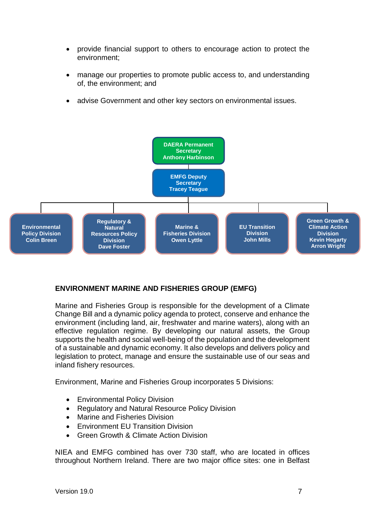- provide financial support to others to encourage action to protect the environment;
- manage our properties to promote public access to, and understanding of, the environment; and
- advise Government and other key sectors on environmental issues.



# **ENVIRONMENT MARINE AND FISHERIES GROUP (EMFG)**

Marine and Fisheries Group is responsible for the development of a Climate Change Bill and a dynamic policy agenda to protect, conserve and enhance the environment (including land, air, freshwater and marine waters), along with an effective regulation regime. By developing our natural assets, the Group supports the health and social well-being of the population and the development of a sustainable and dynamic economy. It also develops and delivers policy and legislation to protect, manage and ensure the sustainable use of our seas and inland fishery resources.

Environment, Marine and Fisheries Group incorporates 5 Divisions:

- Environmental Policy Division
- Regulatory and Natural Resource Policy Division
- Marine and Fisheries Division
- Environment EU Transition Division
- Green Growth & Climate Action Division

NIEA and EMFG combined has over 730 staff, who are located in offices throughout Northern Ireland. There are two major office sites: one in Belfast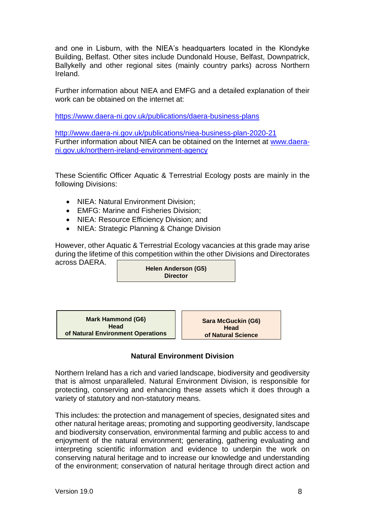and one in Lisburn, with the NIEA's headquarters located in the Klondyke Building, Belfast. Other sites include Dundonald House, Belfast, Downpatrick, Ballykelly and other regional sites (mainly country parks) across Northern Ireland.

Further information about NIEA and EMFG and a detailed explanation of their work can be obtained on the internet at:

<https://www.daera-ni.gov.uk/publications/daera-business-plans>

http://www.daera-ni.gov.uk/publications/niea-business-plan-2020-21 Further information about NIEA can be obtained on the Internet at [www.daera](http://www.daera-ni.gov.uk/northern-ireland-environment-agency)[ni.gov.uk/northern-ireland-environment-agency](http://www.daera-ni.gov.uk/northern-ireland-environment-agency)

These Scientific Officer Aquatic & Terrestrial Ecology posts are mainly in the following Divisions:

- NIEA: Natural Environment Division:
- EMFG: Marine and Fisheries Division:
- NIEA: Resource Efficiency Division; and
- NIEA: Strategic Planning & Change Division

However, other Aquatic & Terrestrial Ecology vacancies at this grade may arise during the lifetime of this competition within the other Divisions and Directorates across DAERA.

**Helen Anderson (G5) Director**

**Mark Hammond (G6) Head of Natural Environment Operations**

**Sara McGuckin (G6) Head of Natural Science**

# **Natural Environment Division**

Northern Ireland has a rich and varied landscape, biodiversity and geodiversity that is almost unparalleled. Natural Environment Division, is responsible for protecting, conserving and enhancing these assets which it does through a variety of statutory and non-statutory means.

This includes: the protection and management of species, designated sites and other natural heritage areas; promoting and supporting geodiversity, landscape and biodiversity conservation, environmental farming and public access to and enjoyment of the natural environment; generating, gathering evaluating and interpreting scientific information and evidence to underpin the work on conserving natural heritage and to increase our knowledge and understanding of the environment; conservation of natural heritage through direct action and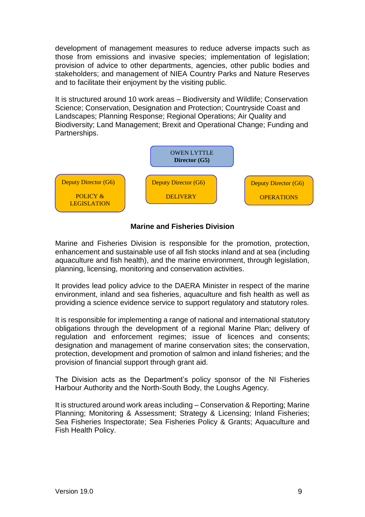development of management measures to reduce adverse impacts such as those from emissions and invasive species; implementation of legislation; provision of advice to other departments, agencies, other public bodies and stakeholders; and management of NIEA Country Parks and Nature Reserves and to facilitate their enjoyment by the visiting public.

It is structured around 10 work areas – Biodiversity and Wildlife; Conservation Science; Conservation, Designation and Protection; Countryside Coast and Landscapes; Planning Response; Regional Operations; Air Quality and Biodiversity; Land Management; Brexit and Operational Change; Funding and Partnerships.



# **Marine and Fisheries Division**

Marine and Fisheries Division is responsible for the promotion, protection, enhancement and sustainable use of all fish stocks inland and at sea (including aquaculture and fish health), and the marine environment, through legislation, planning, licensing, monitoring and conservation activities.

It provides lead policy advice to the DAERA Minister in respect of the marine environment, inland and sea fisheries, aquaculture and fish health as well as providing a science evidence service to support regulatory and statutory roles.

It is responsible for implementing a range of national and international statutory obligations through the development of a regional Marine Plan; delivery of regulation and enforcement regimes; issue of licences and consents; designation and management of marine conservation sites; the conservation, protection, development and promotion of salmon and inland fisheries; and the provision of financial support through grant aid.

The Division acts as the Department's policy sponsor of the NI Fisheries Harbour Authority and the North-South Body, the Loughs Agency.

It is structured around work areas including – Conservation & Reporting; Marine Planning; Monitoring & Assessment; Strategy & Licensing; Inland Fisheries; Sea Fisheries Inspectorate; Sea Fisheries Policy & Grants; Aquaculture and Fish Health Policy.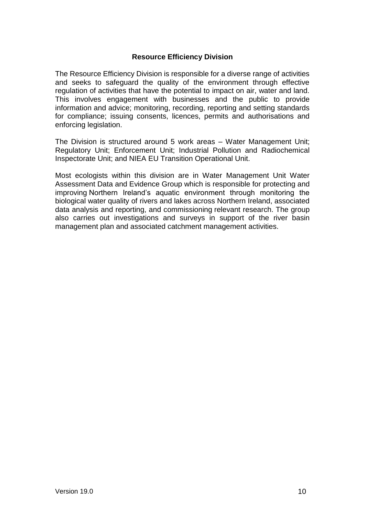# **Resource Efficiency Division**

The Resource Efficiency Division is responsible for a diverse range of activities and seeks to safeguard the quality of the environment through effective regulation of activities that have the potential to impact on air, water and land. This involves engagement with businesses and the public to provide information and advice; monitoring, recording, reporting and setting standards for compliance; issuing consents, licences, permits and authorisations and enforcing legislation.

The Division is structured around 5 work areas – Water Management Unit; Regulatory Unit; Enforcement Unit; Industrial Pollution and Radiochemical Inspectorate Unit; and NIEA EU Transition Operational Unit.

Most ecologists within this division are in Water Management Unit Water Assessment Data and Evidence Group which is responsible for protecting and improving Northern Ireland's aquatic environment through monitoring the biological water quality of rivers and lakes across Northern Ireland, associated data analysis and reporting, and commissioning relevant research. The group also carries out investigations and surveys in support of the river basin management plan and associated catchment management activities.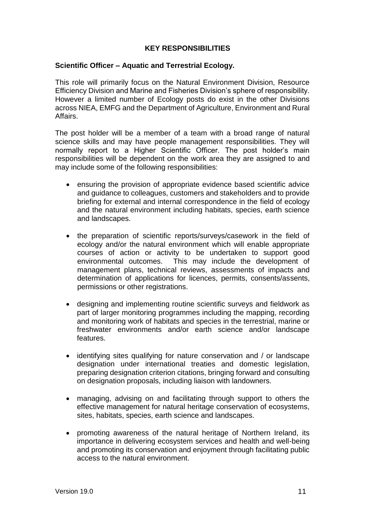# **KEY RESPONSIBILITIES**

#### **Scientific Officer – Aquatic and Terrestrial Ecology.**

This role will primarily focus on the Natural Environment Division, Resource Efficiency Division and Marine and Fisheries Division's sphere of responsibility. However a limited number of Ecology posts do exist in the other Divisions across NIEA, EMFG and the Department of Agriculture, Environment and Rural Affairs.

The post holder will be a member of a team with a broad range of natural science skills and may have people management responsibilities. They will normally report to a Higher Scientific Officer. The post holder's main responsibilities will be dependent on the work area they are assigned to and may include some of the following responsibilities:

- ensuring the provision of appropriate evidence based scientific advice and guidance to colleagues, customers and stakeholders and to provide briefing for external and internal correspondence in the field of ecology and the natural environment including habitats, species, earth science and landscapes.
- the preparation of scientific reports/surveys/casework in the field of ecology and/or the natural environment which will enable appropriate courses of action or activity to be undertaken to support good environmental outcomes. This may include the development of management plans, technical reviews, assessments of impacts and determination of applications for licences, permits, consents/assents, permissions or other registrations.
- designing and implementing routine scientific surveys and fieldwork as part of larger monitoring programmes including the mapping, recording and monitoring work of habitats and species in the terrestrial, marine or freshwater environments and/or earth science and/or landscape features.
- identifying sites qualifying for nature conservation and / or landscape designation under international treaties and domestic legislation, preparing designation criterion citations, bringing forward and consulting on designation proposals, including liaison with landowners.
- managing, advising on and facilitating through support to others the effective management for natural heritage conservation of ecosystems, sites, habitats, species, earth science and landscapes.
- promoting awareness of the natural heritage of Northern Ireland, its importance in delivering ecosystem services and health and well-being and promoting its conservation and enjoyment through facilitating public access to the natural environment.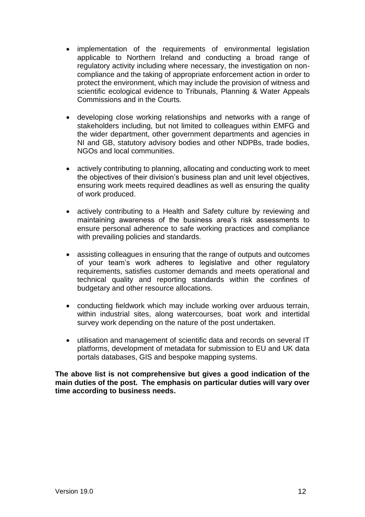- implementation of the requirements of environmental legislation applicable to Northern Ireland and conducting a broad range of regulatory activity including where necessary, the investigation on noncompliance and the taking of appropriate enforcement action in order to protect the environment, which may include the provision of witness and scientific ecological evidence to Tribunals, Planning & Water Appeals Commissions and in the Courts.
- developing close working relationships and networks with a range of stakeholders including, but not limited to colleagues within EMFG and the wider department, other government departments and agencies in NI and GB, statutory advisory bodies and other NDPBs, trade bodies, NGOs and local communities.
- actively contributing to planning, allocating and conducting work to meet the objectives of their division's business plan and unit level objectives, ensuring work meets required deadlines as well as ensuring the quality of work produced.
- actively contributing to a Health and Safety culture by reviewing and maintaining awareness of the business area's risk assessments to ensure personal adherence to safe working practices and compliance with prevailing policies and standards.
- assisting colleagues in ensuring that the range of outputs and outcomes of your team's work adheres to legislative and other regulatory requirements, satisfies customer demands and meets operational and technical quality and reporting standards within the confines of budgetary and other resource allocations.
- conducting fieldwork which may include working over arduous terrain, within industrial sites, along watercourses, boat work and intertidal survey work depending on the nature of the post undertaken.
- utilisation and management of scientific data and records on several IT platforms, development of metadata for submission to EU and UK data portals databases, GIS and bespoke mapping systems.

**The above list is not comprehensive but gives a good indication of the main duties of the post. The emphasis on particular duties will vary over time according to business needs.**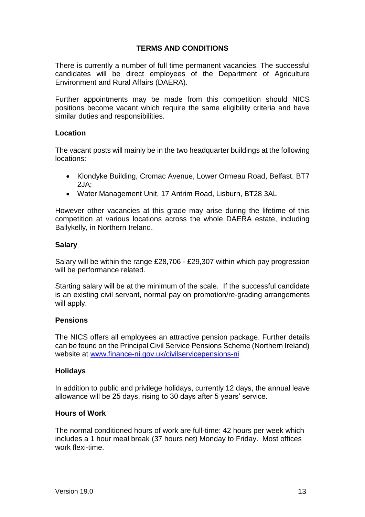# **TERMS AND CONDITIONS**

There is currently a number of full time permanent vacancies. The successful candidates will be direct employees of the Department of Agriculture Environment and Rural Affairs (DAERA).

Further appointments may be made from this competition should NICS positions become vacant which require the same eligibility criteria and have similar duties and responsibilities.

#### **Location**

The vacant posts will mainly be in the two headquarter buildings at the following locations:

- Klondyke Building, Cromac Avenue, Lower Ormeau Road, Belfast. BT7 2JA;
- Water Management Unit, 17 Antrim Road, Lisburn, BT28 3AL

However other vacancies at this grade may arise during the lifetime of this competition at various locations across the whole DAERA estate, including Ballykelly, in Northern Ireland.

#### **Salary**

Salary will be within the range £28,706 - £29,307 within which pay progression will be performance related.

Starting salary will be at the minimum of the scale. If the successful candidate is an existing civil servant, normal pay on promotion/re-grading arrangements will apply.

# **Pensions**

The NICS offers all employees an attractive pension package. Further details can be found on the Principal Civil Service Pensions Scheme (Northern Ireland) website at [www.finance-ni.gov.uk/civilservicepensions-ni](http://www.finance-ni.gov.uk/civilservicepensions-ni) 

#### **Holidays**

In addition to public and privilege holidays, currently 12 days, the annual leave allowance will be 25 days, rising to 30 days after 5 years' service.

# **Hours of Work**

The normal conditioned hours of work are full-time: 42 hours per week which includes a 1 hour meal break (37 hours net) Monday to Friday. Most offices work flexi-time.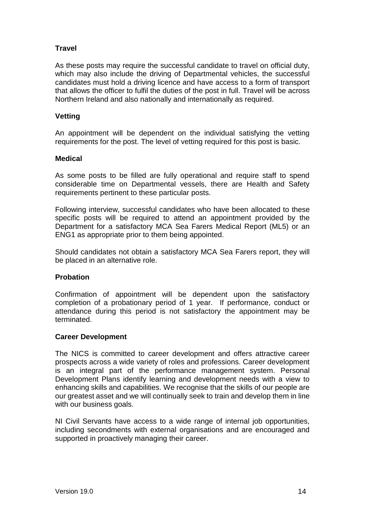# **Travel**

As these posts may require the successful candidate to travel on official duty, which may also include the driving of Departmental vehicles, the successful candidates must hold a driving licence and have access to a form of transport that allows the officer to fulfil the duties of the post in full. Travel will be across Northern Ireland and also nationally and internationally as required.

# **Vetting**

An appointment will be dependent on the individual satisfying the vetting requirements for the post. The level of vetting required for this post is basic.

# **Medical**

As some posts to be filled are fully operational and require staff to spend considerable time on Departmental vessels, there are Health and Safety requirements pertinent to these particular posts.

Following interview, successful candidates who have been allocated to these specific posts will be required to attend an appointment provided by the Department for a satisfactory MCA Sea Farers Medical Report (ML5) or an ENG1 as appropriate prior to them being appointed.

Should candidates not obtain a satisfactory MCA Sea Farers report, they will be placed in an alternative role.

# **Probation**

Confirmation of appointment will be dependent upon the satisfactory completion of a probationary period of 1 year. If performance, conduct or attendance during this period is not satisfactory the appointment may be terminated.

# **Career Development**

The NICS is committed to career development and offers attractive career prospects across a wide variety of roles and professions. Career development is an integral part of the performance management system. Personal Development Plans identify learning and development needs with a view to enhancing skills and capabilities. We recognise that the skills of our people are our greatest asset and we will continually seek to train and develop them in line with our business goals.

NI Civil Servants have access to a wide range of internal job opportunities, including secondments with external organisations and are encouraged and supported in proactively managing their career.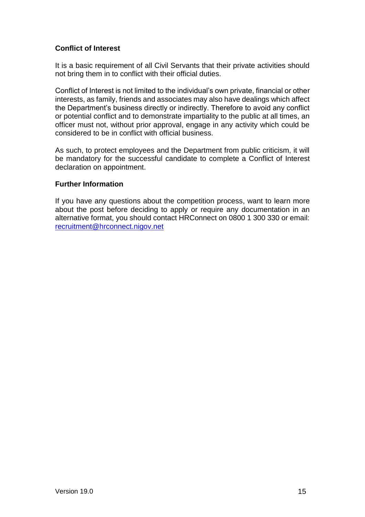# **Conflict of Interest**

It is a basic requirement of all Civil Servants that their private activities should not bring them in to conflict with their official duties.

Conflict of Interest is not limited to the individual's own private, financial or other interests, as family, friends and associates may also have dealings which affect the Department's business directly or indirectly. Therefore to avoid any conflict or potential conflict and to demonstrate impartiality to the public at all times, an officer must not, without prior approval, engage in any activity which could be considered to be in conflict with official business.

As such, to protect employees and the Department from public criticism, it will be mandatory for the successful candidate to complete a Conflict of Interest declaration on appointment.

# **Further Information**

If you have any questions about the competition process, want to learn more about the post before deciding to apply or require any documentation in an alternative format, you should contact HRConnect on 0800 1 300 330 or email: [recruitment@hrconnect.nigov.net](mailto:recruitment@hrconnect.nigov.net)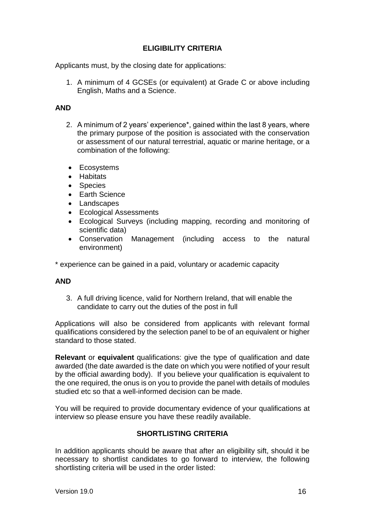# **ELIGIBILITY CRITERIA**

Applicants must, by the closing date for applications:

1. A minimum of 4 GCSEs (or equivalent) at Grade C or above including English, Maths and a Science.

# **AND**

- 2. A minimum of 2 years' experience\*, gained within the last 8 years, where the primary purpose of the position is associated with the conservation or assessment of our natural terrestrial, aquatic or marine heritage, or a combination of the following:
- Ecosystems
- Habitats
- Species
- Earth Science
- Landscapes
- Ecological Assessments
- Ecological Surveys (including mapping, recording and monitoring of scientific data)
- Conservation Management (including access to the natural environment)

\* experience can be gained in a paid, voluntary or academic capacity

# **AND**

3. A full driving licence, valid for Northern Ireland, that will enable the candidate to carry out the duties of the post in full

Applications will also be considered from applicants with relevant formal qualifications considered by the selection panel to be of an equivalent or higher standard to those stated.

**Relevant** or **equivalent** qualifications: give the type of qualification and date awarded (the date awarded is the date on which you were notified of your result by the official awarding body). If you believe your qualification is equivalent to the one required, the onus is on you to provide the panel with details of modules studied etc so that a well-informed decision can be made.

You will be required to provide documentary evidence of your qualifications at interview so please ensure you have these readily available.

# **SHORTLISTING CRITERIA**

In addition applicants should be aware that after an eligibility sift, should it be necessary to shortlist candidates to go forward to interview, the following shortlisting criteria will be used in the order listed: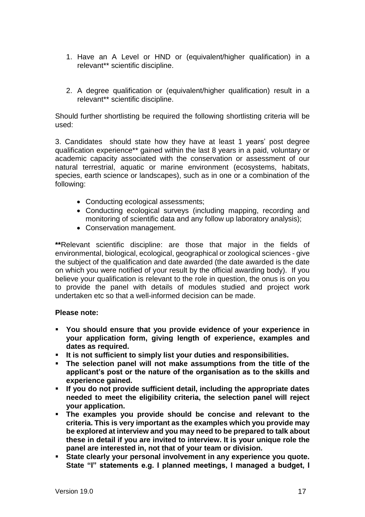- 1. Have an A Level or HND or (equivalent/higher qualification) in a relevant\*\* scientific discipline.
- 2. A degree qualification or (equivalent/higher qualification) result in a relevant\*\* scientific discipline.

Should further shortlisting be required the following shortlisting criteria will be used:

3. Candidates should state how they have at least 1 years' post degree qualification experience\*\* gained within the last 8 years in a paid, voluntary or academic capacity associated with the conservation or assessment of our natural terrestrial, aquatic or marine environment (ecosystems, habitats, species, earth science or landscapes), such as in one or a combination of the following:

- Conducting ecological assessments:
- Conducting ecological surveys (including mapping, recording and monitoring of scientific data and any follow up laboratory analysis);
- Conservation management.

**\*\***Relevant scientific discipline: are those that major in the fields of environmental, biological, ecological, geographical or zoological sciences - give the subject of the qualification and date awarded (the date awarded is the date on which you were notified of your result by the official awarding body). If you believe your qualification is relevant to the role in question, the onus is on you to provide the panel with details of modules studied and project work undertaken etc so that a well-informed decision can be made.

# **Please note:**

- **You should ensure that you provide evidence of your experience in your application form, giving length of experience, examples and dates as required.**
- **It is not sufficient to simply list your duties and responsibilities.**
- **The selection panel will not make assumptions from the title of the applicant's post or the nature of the organisation as to the skills and experience gained.**
- **If you do not provide sufficient detail, including the appropriate dates needed to meet the eligibility criteria, the selection panel will reject your application.**
- **The examples you provide should be concise and relevant to the criteria. This is very important as the examples which you provide may be explored at interview and you may need to be prepared to talk about these in detail if you are invited to interview. It is your unique role the panel are interested in, not that of your team or division.**
- **State clearly your personal involvement in any experience you quote. State "I" statements e.g. I planned meetings, I managed a budget, I**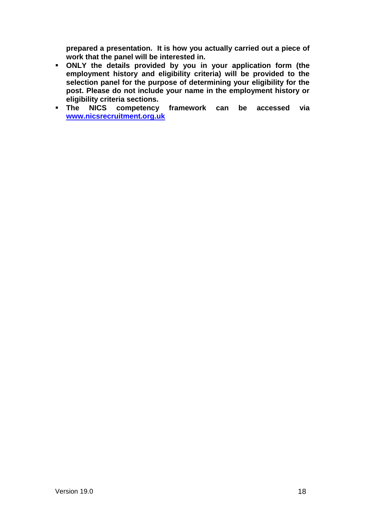**prepared a presentation. It is how you actually carried out a piece of work that the panel will be interested in.**

- **ONLY the details provided by you in your application form (the**  employment history and eligibility criteria) will be provided to the **selection panel for the purpose of determining your eligibility for the post. Please do not include your name in the employment history or eligibility criteria sections.**
- **The NICS competency framework can be accessed via [www.nicsrecruitment.org.uk](http://www.nicsrecruitment.gov.uk/)**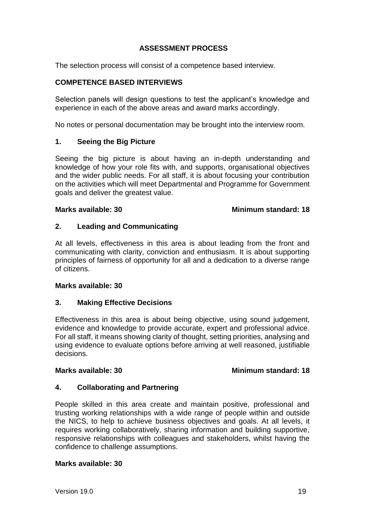# **ASSESSMENT PROCESS**

The selection process will consist of a competence based interview.

# **COMPETENCE BASED INTERVIEWS**

Selection panels will design questions to test the applicant's knowledge and experience in each of the above areas and award marks accordingly.

No notes or personal documentation may be brought into the interview room.

# **1. Seeing the Big Picture**

Seeing the big picture is about having an in-depth understanding and knowledge of how your role fits with, and supports, organisational objectives and the wider public needs. For all staff, it is about focusing your contribution on the activities which will meet Departmental and Programme for Government goals and deliver the greatest value.

#### **Marks available: 30 Minimum standard: 18**

#### **2. Leading and Communicating**

At all levels, effectiveness in this area is about leading from the front and communicating with clarity, conviction and enthusiasm. It is about supporting principles of fairness of opportunity for all and a dedication to a diverse range of citizens.

#### **Marks available: 30**

#### **3. Making Effective Decisions**

Effectiveness in this area is about being objective, using sound judgement, evidence and knowledge to provide accurate, expert and professional advice. For all staff, it means showing clarity of thought, setting priorities, analysing and using evidence to evaluate options before arriving at well reasoned, justifiable decisions.

#### **Marks available: 30 Minimum standard: 18**

# **4. Collaborating and Partnering**

People skilled in this area create and maintain positive, professional and trusting working relationships with a wide range of people within and outside the NICS, to help to achieve business objectives and goals. At all levels, it requires working collaboratively, sharing information and building supportive, responsive relationships with colleagues and stakeholders, whilst having the confidence to challenge assumptions.

#### **Marks available: 30**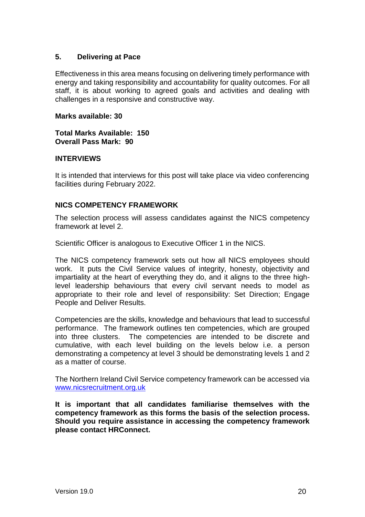# **5. Delivering at Pace**

Effectiveness in this area means focusing on delivering timely performance with energy and taking responsibility and accountability for quality outcomes. For all staff, it is about working to agreed goals and activities and dealing with challenges in a responsive and constructive way.

#### **Marks available: 30**

**Total Marks Available: 150 Overall Pass Mark: 90**

#### **INTERVIEWS**

It is intended that interviews for this post will take place via video conferencing facilities during February 2022.

# **NICS COMPETENCY FRAMEWORK**

The selection process will assess candidates against the NICS competency framework at level 2.

Scientific Officer is analogous to Executive Officer 1 in the NICS.

The NICS competency framework sets out how all NICS employees should work. It puts the Civil Service values of integrity, honesty, objectivity and impartiality at the heart of everything they do, and it aligns to the three highlevel leadership behaviours that every civil servant needs to model as appropriate to their role and level of responsibility: Set Direction; Engage People and Deliver Results.

Competencies are the skills, knowledge and behaviours that lead to successful performance. The framework outlines ten competencies, which are grouped into three clusters. The competencies are intended to be discrete and cumulative, with each level building on the levels below i.e. a person demonstrating a competency at level 3 should be demonstrating levels 1 and 2 as a matter of course.

The Northern Ireland Civil Service competency framework can be accessed via [www.nicsrecruitment.org.uk](http://www.nicsrecruitment.gov.uk/)

**It is important that all candidates familiarise themselves with the competency framework as this forms the basis of the selection process. Should you require assistance in accessing the competency framework please contact HRConnect.**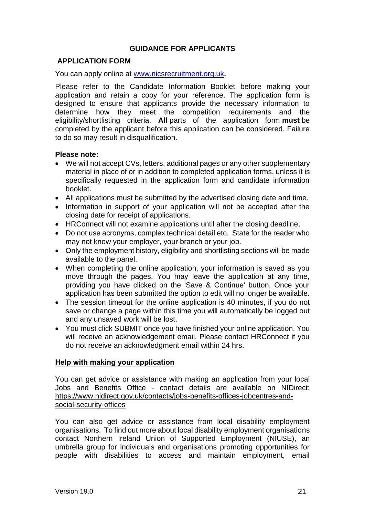# **GUIDANCE FOR APPLICANTS**

# **APPLICATION FORM**

You can apply online at [www.nicsrecruitment.org.uk](http://www.nicsrecruitment.org.uk/)**.**

Please refer to the Candidate Information Booklet before making your application and retain a copy for your reference. The application form is designed to ensure that applicants provide the necessary information to determine how they meet the competition requirements and the eligibility/shortlisting criteria. **All** parts of the application form **must** be completed by the applicant before this application can be considered. Failure to do so may result in disqualification.

#### **Please note:**

- We will not accept CVs, letters, additional pages or any other supplementary material in place of or in addition to completed application forms, unless it is specifically requested in the application form and candidate information booklet.
- All applications must be submitted by the advertised closing date and time.
- Information in support of your application will not be accepted after the closing date for receipt of applications.
- HRConnect will not examine applications until after the closing deadline.
- Do not use acronyms, complex technical detail etc. State for the reader who may not know your employer, your branch or your job.
- Only the employment history, eligibility and shortlisting sections will be made available to the panel.
- When completing the online application, your information is saved as you move through the pages. You may leave the application at any time, providing you have clicked on the 'Save & Continue' button. Once your application has been submitted the option to edit will no longer be available.
- The session timeout for the online application is 40 minutes, if you do not save or change a page within this time you will automatically be logged out and any unsaved work will be lost.
- You must click SUBMIT once you have finished your online application. You will receive an acknowledgement email. Please contact HRConnect if you do not receive an acknowledgment email within 24 hrs.

#### **Help with making your application**

You can get advice or assistance with making an application from your local Jobs and Benefits Office - contact details are available on NIDirect: [https://www.nidirect.gov.uk/contacts/jobs-benefits-offices-jobcentres-and](https://www.nidirect.gov.uk/contacts/jobs-benefits-offices-jobcentres-and-social-security-offices)[social-security-offices](https://www.nidirect.gov.uk/contacts/jobs-benefits-offices-jobcentres-and-social-security-offices) 

You can also get advice or assistance from local disability employment organisations. To find out more about local disability employment organisations contact Northern Ireland Union of Supported Employment (NIUSE), an umbrella group for individuals and organisations promoting opportunities for people with disabilities to access and maintain employment, email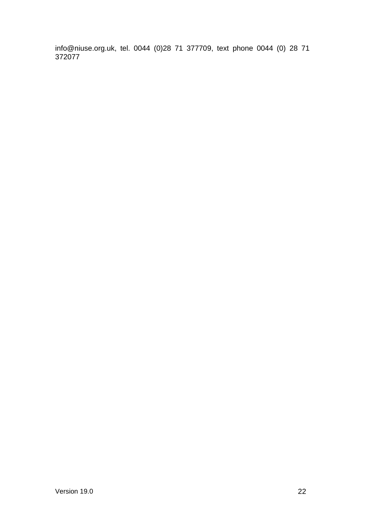info@niuse.org.uk, tel. 0044 (0)28 71 377709, text phone 0044 (0) 28 71 372077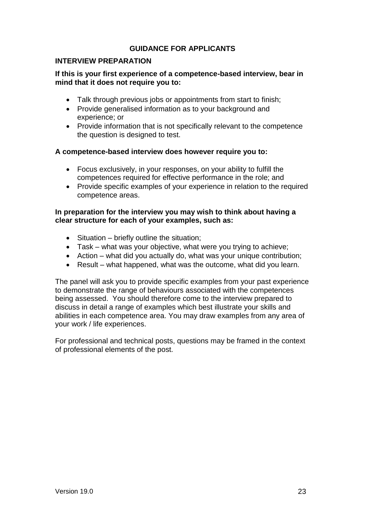# **GUIDANCE FOR APPLICANTS**

#### **INTERVIEW PREPARATION**

# **If this is your first experience of a competence-based interview, bear in mind that it does not require you to:**

- Talk through previous jobs or appointments from start to finish:
- Provide generalised information as to your background and experience; or
- Provide information that is not specifically relevant to the competence the question is designed to test.

#### **A competence-based interview does however require you to:**

- Focus exclusively, in your responses, on your ability to fulfill the competences required for effective performance in the role; and
- Provide specific examples of your experience in relation to the required competence areas.

#### **In preparation for the interview you may wish to think about having a clear structure for each of your examples, such as:**

- Situation briefly outline the situation;
- Task what was your objective, what were you trying to achieve;
- Action what did you actually do, what was your unique contribution;
- Result what happened, what was the outcome, what did you learn.

The panel will ask you to provide specific examples from your past experience to demonstrate the range of behaviours associated with the competences being assessed. You should therefore come to the interview prepared to discuss in detail a range of examples which best illustrate your skills and abilities in each competence area. You may draw examples from any area of your work / life experiences.

For professional and technical posts, questions may be framed in the context of professional elements of the post.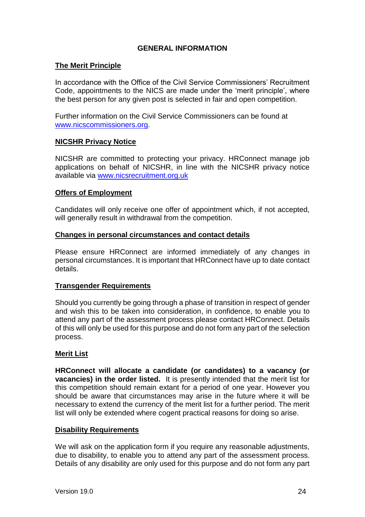# **GENERAL INFORMATION**

#### **The Merit Principle**

In accordance with the Office of the Civil Service Commissioners' Recruitment Code, appointments to the NICS are made under the 'merit principle', where the best person for any given post is selected in fair and open competition.

Further information on the Civil Service Commissioners can be found at [www.nicscommissioners.org.](http://www.nicscommissioners.org/)

# **NICSHR Privacy Notice**

NICSHR are committed to protecting your privacy. HRConnect manage job applications on behalf of NICSHR, in line with the NICSHR privacy notice available via [www.nicsrecruitment.org.uk](https://www.finance-ni.gov.uk/publications/nics-hr-privacy-notice)

# **Offers of Employment**

Candidates will only receive one offer of appointment which, if not accepted, will generally result in withdrawal from the competition.

# **Changes in personal circumstances and contact details**

Please ensure HRConnect are informed immediately of any changes in personal circumstances. It is important that HRConnect have up to date contact details.

# **Transgender Requirements**

Should you currently be going through a phase of transition in respect of gender and wish this to be taken into consideration, in confidence, to enable you to attend any part of the assessment process please contact HRConnect. Details of this will only be used for this purpose and do not form any part of the selection process.

# **Merit List**

**HRConnect will allocate a candidate (or candidates) to a vacancy (or vacancies) in the order listed.** It is presently intended that the merit list for this competition should remain extant for a period of one year. However you should be aware that circumstances may arise in the future where it will be necessary to extend the currency of the merit list for a further period. The merit list will only be extended where cogent practical reasons for doing so arise.

# **Disability Requirements**

We will ask on the application form if you require any reasonable adjustments, due to disability, to enable you to attend any part of the assessment process. Details of any disability are only used for this purpose and do not form any part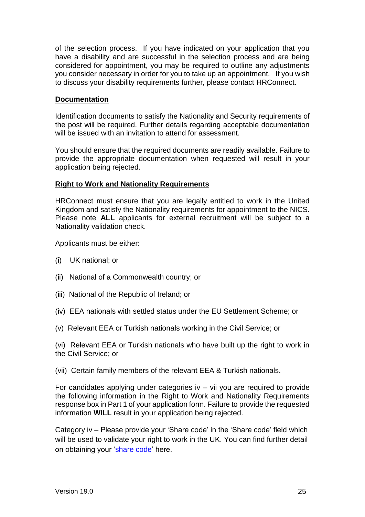of the selection process. If you have indicated on your application that you have a disability and are successful in the selection process and are being considered for appointment, you may be required to outline any adjustments you consider necessary in order for you to take up an appointment. If you wish to discuss your disability requirements further, please contact HRConnect.

# **Documentation**

Identification documents to satisfy the Nationality and Security requirements of the post will be required. Further details regarding acceptable documentation will be issued with an invitation to attend for assessment.

You should ensure that the required documents are readily available. Failure to provide the appropriate documentation when requested will result in your application being rejected.

# **Right to Work and Nationality Requirements**

HRConnect must ensure that you are legally entitled to work in the United Kingdom and satisfy the Nationality requirements for appointment to the NICS. Please note **ALL** applicants for external recruitment will be subject to a Nationality validation check.

Applicants must be either:

- (i) UK national; or
- (ii) National of a Commonwealth country; or
- (iii) National of the Republic of Ireland; or
- (iv) EEA nationals with settled status under the EU Settlement Scheme; or
- (v) Relevant EEA or Turkish nationals working in the Civil Service; or

(vi) Relevant EEA or Turkish nationals who have built up the right to work in the Civil Service; or

(vii) Certain family members of the relevant EEA & Turkish nationals.

For candidates applying under categories iv – vii you are required to provide the following information in the Right to Work and Nationality Requirements response box in Part 1 of your application form. Failure to provide the requested information **WILL** result in your application being rejected.

Category iv – Please provide your 'Share code' in the 'Share code' field which will be used to validate your right to work in the UK. You can find further detail on obtaining your ['share code'](https://www.gov.uk/view-prove-immigration-status) here.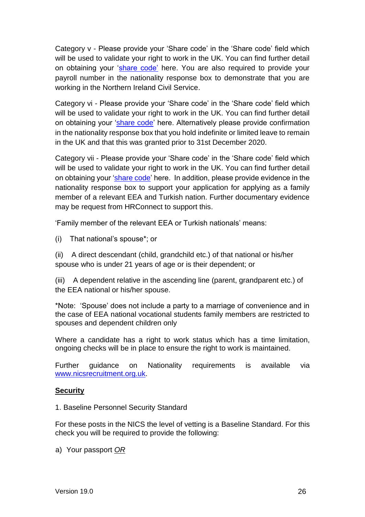Category v - Please provide your 'Share code' in the 'Share code' field which will be used to validate your right to work in the UK. You can find further detail on obtaining your ['share code'](https://www.gov.uk/view-prove-immigration-status) here. You are also required to provide your payroll number in the nationality response box to demonstrate that you are working in the Northern Ireland Civil Service.

Category vi - Please provide your 'Share code' in the 'Share code' field which will be used to validate your right to work in the UK. You can find further detail on obtaining your ['share code'](https://www.gov.uk/view-prove-immigration-status) here. Alternatively please provide confirmation in the nationality response box that you hold indefinite or limited leave to remain in the UK and that this was granted prior to 31st December 2020.

Category vii - Please provide your 'Share code' in the 'Share code' field which will be used to validate your right to work in the UK. You can find further detail on obtaining your ['share code'](https://www.gov.uk/view-prove-immigration-status) here. In addition, please provide evidence in the nationality response box to support your application for applying as a family member of a relevant EEA and Turkish nation. Further documentary evidence may be request from HRConnect to support this.

'Family member of the relevant EEA or Turkish nationals' means:

(i) That national's spouse\*; or

(ii) A direct descendant (child, grandchild etc.) of that national or his/her spouse who is under 21 years of age or is their dependent; or

(iii) A dependent relative in the ascending line (parent, grandparent etc.) of the EEA national or his/her spouse.

\*Note: 'Spouse' does not include a party to a marriage of convenience and in the case of EEA national vocational students family members are restricted to spouses and dependent children only

Where a candidate has a right to work status which has a time limitation, ongoing checks will be in place to ensure the right to work is maintained.

Further guidance on Nationality requirements is available via [www.nicsrecruitment.org.uk.](https://irecruit-ext.hrconnect.nigov.net/pages/content.aspx?Page=how-do-i-apply/useful-information/nationality-guidance)

# **Security**

1. Baseline Personnel Security Standard

For these posts in the NICS the level of vetting is a Baseline Standard. For this check you will be required to provide the following:

a) Your passport *OR*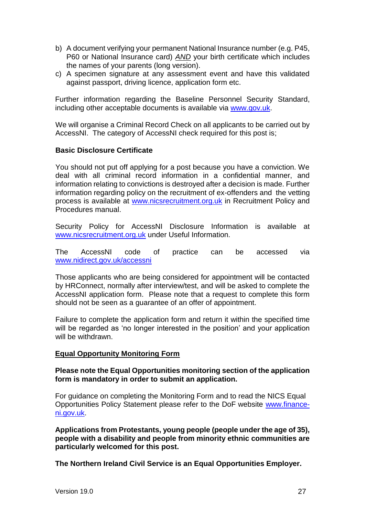- b) A document verifying your permanent National Insurance number (e.g. P45, P60 or National Insurance card) *AND* your birth certificate which includes the names of your parents (long version).
- c) A specimen signature at any assessment event and have this validated against passport, driving licence, application form etc.

Further information regarding the Baseline Personnel Security Standard, including other acceptable documents is available via [www.gov.uk.](https://assets.publishing.service.gov.uk/government/uploads/system/uploads/attachment_data/file/714002/HMG_Baseline_Personnel_Security_Standard_-_May_2018.pdf)

We will organise a Criminal Record Check on all applicants to be carried out by AccessNI. The category of AccessNI check required for this post is;

# **Basic Disclosure Certificate**

You should not put off applying for a post because you have a conviction. We deal with all criminal record information in a confidential manner, and information relating to convictions is destroyed after a decision is made. Further information regarding policy on the recruitment of ex-offenders and the vetting process is available at [www.nicsrecruitment.org.uk](http://www.nicsrecruitment.org.uk/) in Recruitment Policy and Procedures manual.

Security Policy for AccessNI Disclosure Information is available at [www.nicsrecruitment.org.uk](http://www.nicsrecruitment.org.uk/) under Useful Information.

The AccessNI code of practice can be accessed via [www.nidirect.gov.uk/accessni](http://www.nidirect.gov.uk/accessni)

Those applicants who are being considered for appointment will be contacted by HRConnect, normally after interview/test, and will be asked to complete the AccessNI application form. Please note that a request to complete this form should not be seen as a guarantee of an offer of appointment.

Failure to complete the application form and return it within the specified time will be regarded as 'no longer interested in the position' and your application will be withdrawn.

# **Equal Opportunity Monitoring Form**

#### **Please note the Equal Opportunities monitoring section of the application form is mandatory in order to submit an application.**

For guidance on completing the Monitoring Form and to read the NICS Equal Opportunities Policy Statement please refer to the DoF website [www.finance](https://www.finance-ni.gov.uk/articles/equal-opportunities-information-candidates)[ni.gov.uk.](https://www.finance-ni.gov.uk/articles/equal-opportunities-information-candidates)

**Applications from Protestants, young people (people under the age of 35), people with a disability and people from minority ethnic communities are particularly welcomed for this post.**

**The Northern Ireland Civil Service is an Equal Opportunities Employer.**